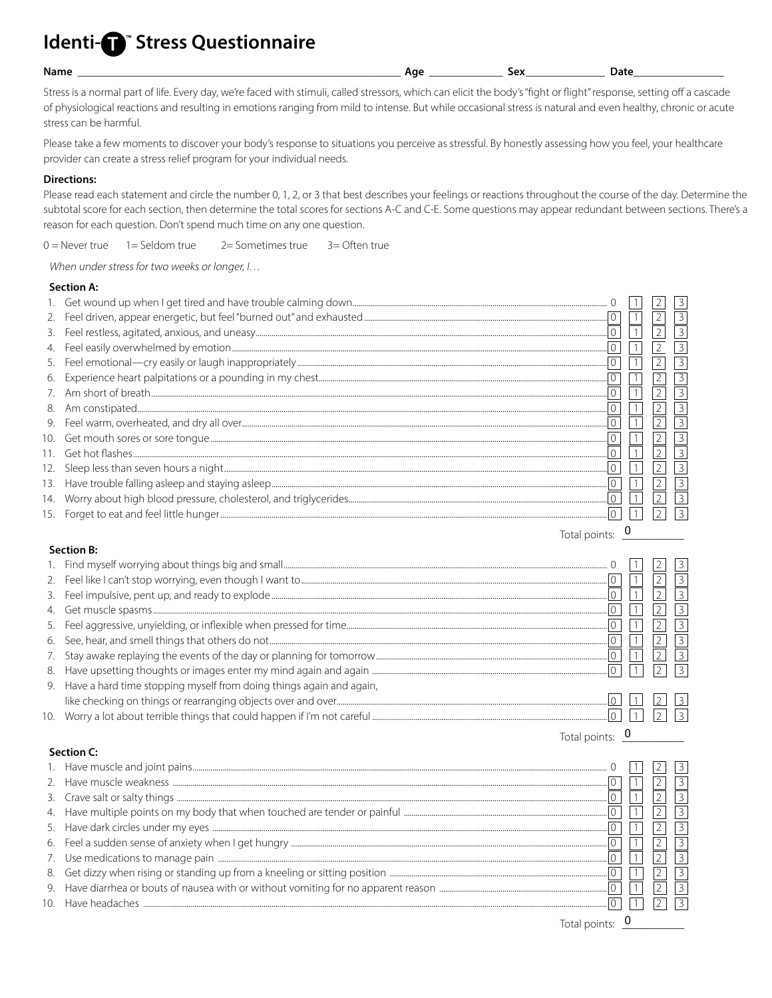# Identi-**O**<sup>"</sup> Stress Questionnaire

#### Name

Date

Total points:  $\sqrt{\phantom{a}}$ 

Stress is a normal part of life. Every day, we're faced with stimuli, called stressors, which can elicit the body's "fight or flight" response, setting off a cascade of physiological reactions and resulting in emotions ranging from mild to intense. But while occasional stress is natural and even healthy, chronic or acute stress can be harmful.

Please take a few moments to discover your body's response to situations you perceive as stressful. By honestly assessing how you feel, your healthcare provider can create a stress relief program for your individual needs.

## **Directions:**

Please read each statement and circle the number 0, 1, 2, or 3 that best describes your feelings or reactions throughout the course of the day. Determine the subtotal score for each section, then determine the total scores for sections A-C and C-E. Some questions may appear redundant between sections. There's a reason for each question. Don't spend much time on any one question.

 $0 =$  Never true  $1 =$  Seldom true 2= Sometimes true  $3 =$  Often true

When under stress for two weeks or longer, I...

### **Section A:**

| 2.  |               |  |                |
|-----|---------------|--|----------------|
| 3.  |               |  | $\overline{3}$ |
| 4.  |               |  |                |
| 5.  |               |  |                |
| 6.  |               |  |                |
| 7.  |               |  |                |
| 8.  |               |  | 3              |
| 9.  |               |  |                |
|     |               |  |                |
|     |               |  |                |
| 12. |               |  | 3              |
| 13. |               |  | 3              |
| 14. |               |  |                |
| 15. |               |  |                |
|     | Total points: |  |                |

## Section B:

| 2. |                                                                        |  |   |
|----|------------------------------------------------------------------------|--|---|
| 3. |                                                                        |  |   |
|    |                                                                        |  |   |
| 5. |                                                                        |  |   |
|    |                                                                        |  |   |
| 7. |                                                                        |  |   |
| 8. |                                                                        |  | 3 |
|    | 9. Have a hard time stopping myself from doing things again and again, |  |   |
|    |                                                                        |  |   |
|    |                                                                        |  |   |

### **Section C:**

|                   |  | $\mathcal{R}$ |
|-------------------|--|---------------|
|                   |  |               |
|                   |  |               |
|                   |  |               |
|                   |  |               |
|                   |  |               |
|                   |  |               |
|                   |  |               |
| Total points: $0$ |  |               |